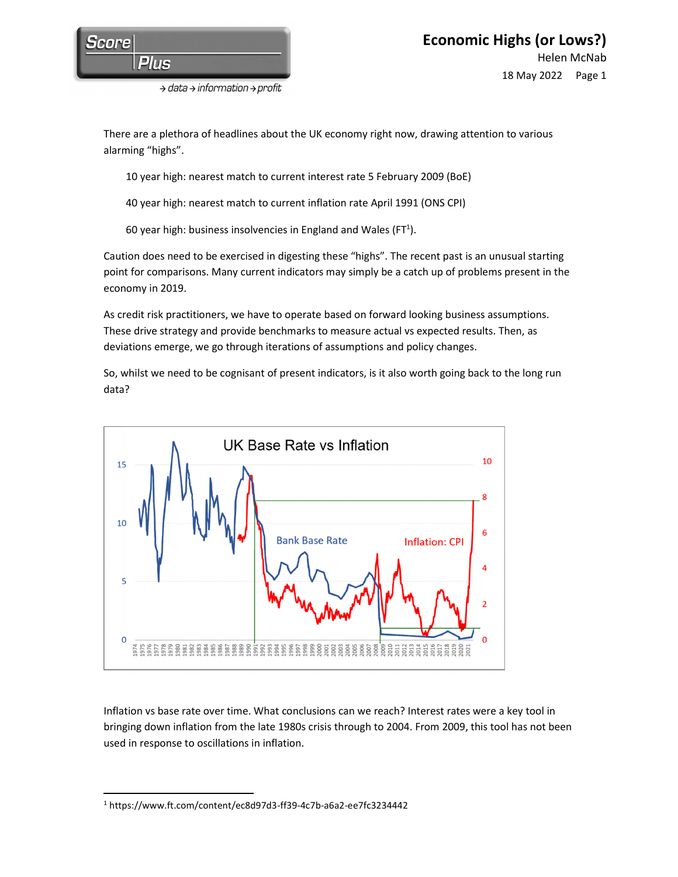

 $\rightarrow$  data  $\rightarrow$  information  $\rightarrow$  profit

There are a plethora of headlines about the UK economy right now, drawing attention to various alarming "highs".

10 year high: nearest match to current interest rate 5 February 2009 (BoE)

- 40 year high: nearest match to current inflation rate April 1991 (ONS CPI)
- 60 year high: business insolvencies in England and Wales (FT<sup>1</sup>).

Caution does need to be exercised in digesting these "highs". The recent past is an unusual starting point for comparisons. Many current indicators may simply be a catch up of problems present in the economy in 2019.

As credit risk practitioners, we have to operate based on forward looking business assumptions. These drive strategy and provide benchmarks to measure actual vs expected results. Then, as deviations emerge, we go through iterations of assumptions and policy changes.

So, whilst we need to be cognisant of present indicators, is it also worth going back to the long run data?



Inflation vs base rate over time. What conclusions can we reach? Interest rates were a key tool in bringing down inflation from the late 1980s crisis through to 2004. From 2009, this tool has not been used in response to oscillations in inflation.

<sup>1</sup> https://www.ft.com/content/ec8d97d3-ff39-4c7b-a6a2-ee7fc3234442